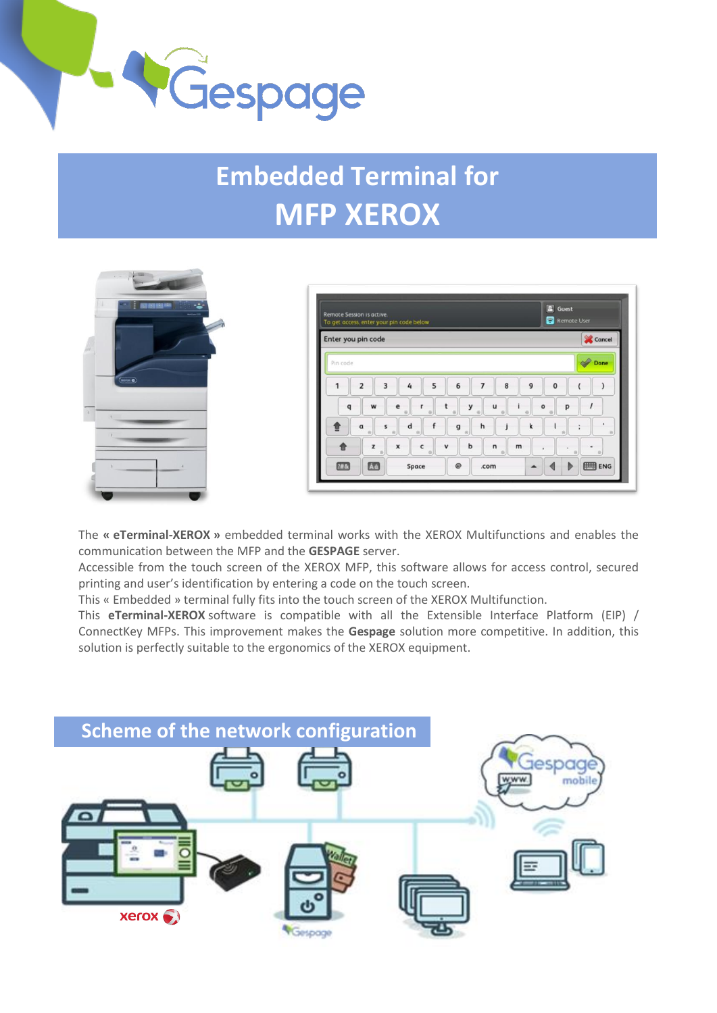

## **Embedded Terminal for MFP XEROX**





The **« eTerminal-XEROX »** embedded terminal works with the XEROX Multifunctions and enables the communication between the MFP and the **GESPAGE** server.

Accessible from the touch screen of the XEROX MFP, this software allows for access control, secured printing and user's identification by entering a code on the touch screen.

This « Embedded » terminal fully fits into the touch screen of the XEROX Multifunction.

This **eTerminal-XEROX** software is compatible with all the Extensible Interface Platform (EIP) / ConnectKey MFPs. This improvement makes the **Gespage** solution more competitive. In addition, this solution is perfectly suitable to the ergonomics of the XEROX equipment.